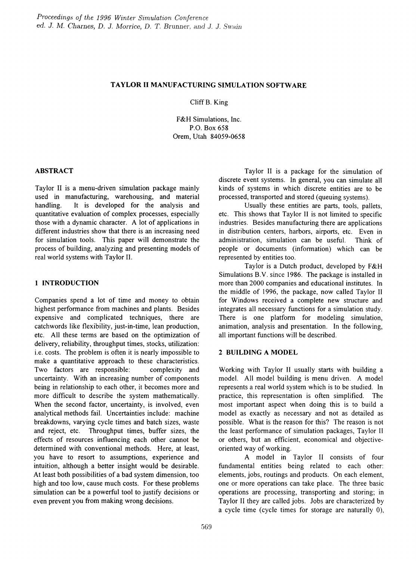### TAYLOR II MANUFACTURING SIMULATION SOFTWARE

Cliff B. King

F&H Simulations, Inc. P.O. Box 658 Orem, Utah 84059-0658

#### ABSTRACT

Taylor II is a menu-driven simulation package mainly used in manufacturing, warehousing, and material handling. It is developed for the analysis and quantitative evaluation of complex processes, especially those with a dynamic character. A lot of applications in different industries show that there is an increasing need for simulation tools. This paper will demonstrate the process of building, analyzing and presenting models of real world systems with Taylor II.

# 1 INTRODUCTION

Companies spend a lot of time and money to obtain highest performance from machines and plants. Besides expensive and complicated techniques, there are catchwords like flexibility, just-in-time, lean production, etc. All these terms are based on the optimization of delivery, reliability, throughput times, stocks, utilization: i.e. costs. The problem is often it is nearly impossible to make a quantitative approach to these characteristics. Two factors are responsible: complexity and uncertainty. With an increasing number of components being in relationship to each other, it becomes more and more difficult to describe the system mathematically. When the second factor, uncertainty, is involved, even analytical methods fail. Uncertainties include: machine breakdowns, varying cycle times and batch sizes, waste and reject, etc. Throughput times, buffer sizes, the effects of resources influencing each other cannot be determined with conventional methods. Here, at least, you have to resort to assumptions, experience and intuition, although a better insight would be desirable. At least both possibilities of a bad system dimension, too high and too low, cause much costs. For these problems simulation can be a powerful tool to justify decisions or even prevent you from making wrong decisions.

Taylor II is a package for the simulation of discrete event systems. In general, you can simulate all kinds of systems in which discrete entities are to be processed, transported and stored (queuing systems).

Usually these entities are parts, tools, pallets, etc. This shows that Taylor II is not limited to specific industries. Besides manufacturing there are applications in distribution centers, harbors, airports, etc. Even in administration, simulation can be useful. Think of people or documents (information) which can be represented by entities too.

Taylor is a Dutch product, developed by F&H Simulations B.V. since 1986. The package is installed in more than 2000 companies and educational institutes. In the middle of 1996, the package, now called Taylor II for Windows received a complete new structure and integrates all necessary functions for a simulation study. There is one platform for modeling simulation, animation, analysis and presentation. In the following, all important functions will be described.

## 2 BUILDING A MODEL

Working with Taylor II usually starts with building a model. All model building is menu driven. A model represents a real world system which is to be studied. In practice, this representation is often simplified. The most important aspect when doing this is to build a model as exactly as necessary and not as detailed as possible. What is the reason for this? The reason is not the least performance of simulation packages, Taylor II or others, but an efficient, economical and objectiveoriented way of working.

A model in Taylor II consists of four fundamental entities being related to each other: elements, jobs, routings and products. On each element, one or more operations can take place. The three basic operations are processing, transporting and storing; in Taylor II they are called jobs. Jobs are characterized by a cycle time (cycle times for storage are naturally 0),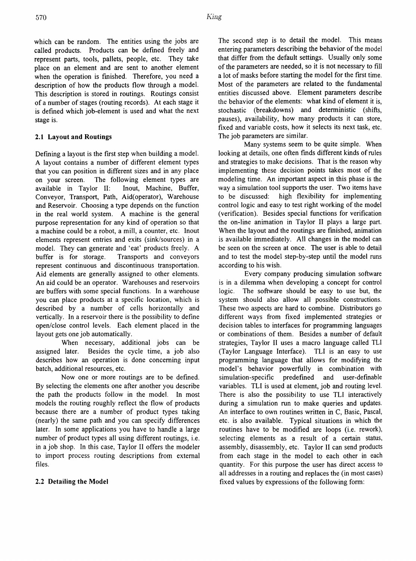which can be random. The entities using the jobs are called products. Products can be defmed freely and represent parts, tools, pallets, people, etc. They take place on an element and are sent to another element when the operation is fmished. Therefore, you need a description of how the products flow through a model. This description is stored in routings. Routings consist of a number of stages (routing records). At each stage it is defmed which job-element is used and what the next stage is.

# 2.1 Layout and Routings

Defming a layout is the frrst step when building a model. A layout contains a number of different element types that you can position in different sizes and in any place on your screen. The following element types are available in Taylor II: Inout, Machine, Buffer, Conveyor, Transport, Path, Aid(operator), Warehouse and Reservoir. Choosing a type depends on the function in the real world system. A machine is the general purpose representation for any kind of operation so that a machine could be a robot, a mill, a counter, etc. Inout elements represent entries and exits (sink/sources) in a model. They can generate and 'eat' products freely. A buffer is for storage. Transports and conveyors represent continuous and discontinuous transportation. Aid elements are generally assigned to other elements. An aid could be an operator. Warehouses and reservoirs are buffers with some special functions. In a warehouse you can place products at a specific location, which is described by a number of cells horizontally and vertically. In a reservoir there is the possibility to define open/close control levels. Each element placed in the layout gets one job automatically.

When necessary, additional jobs can be assigned later. Besides the cycle time, a job also describes how an operation is done concerning input batch, additional resources, etc.

Now one or more routings are to be defmed. By selecting the elements one after another you describe the path the products follow in the model. In most models the routing roughly reflect the flow of products because there are a number of product types taking (nearly) the same path and you can specify differences later. In some applications you have to handle a large number of product types all using different routings, i.e. in a job shop. In this case, Taylor II offers the modeler to import process routing descriptions from external files.

## 2.2 Detailing the Model

The second step is to detail the model. This means entering parameters describing the behavior of the model that differ from the default settings. Usually only some of the parameters are needed, so it is not necessary to fill a lot of masks before starting the model for the frrst time. Most of the parameters are related to the fundamental entities discussed above. Element parameters describe the behavior of the elements: what kind of element it is, stochastic (breakdowns) and deterministic (shifts, pauses), availability, how many products it can store, fixed and variable costs, how it selects its next task, etc. The job parameters are similar.

Many systems seem to be quite simple. When looking at details, one often fmds different kinds of rules and strategies to make decisions. That is the reason why implementing these decision points takes most of the modeling time. An important aspect in this phase is the way a simulation tool supports the user. Two items have to be discussed: high flexibility for implementing control logic and easy to test right working of the model (verification). Besides special functions for verification the on-line animation in Taylor II plays a large part. When the layout and the routings are fmished, animation is available immediately. All changes in the model can be seen on the screen at once. The user is able to detail and to test the model step-by-step until the model runs according to his wish.

Every company producing simulation software is in a dilemma when developing a concept for control logic. The software should be easy to use but, the system should also allow all possible constructions. These two aspects are hard to combine. Distributors go different ways from fixed implemented strategies or decision tables to interfaces for programming languages or combinations of them. Besides a number of default strategies, Taylor II uses a macro language called TLI (Taylor Language Interface). TLI is an easy to use programming language that allows for modifying the model's behavior powerfully in combination with simulation-specific predefmed and user-defmable variables. TLI is used at element, job and routing level. There is also the possibility to use TLI interactively during a simulation run to make queries and updates. An interface to own routines written in C, Basic, Pascal, etc. is also available. Typical situations in which the routines have to be modified are loops (i.e. rework), selecting elements as a result of a certain status, assembly, disassembly, etc. Taylor II can send products from each stage in the model to each other in each quantity. For this purpose the user has direct access to all addresses in a routing and replaces the (in most cases) fixed values by expressions of the following form: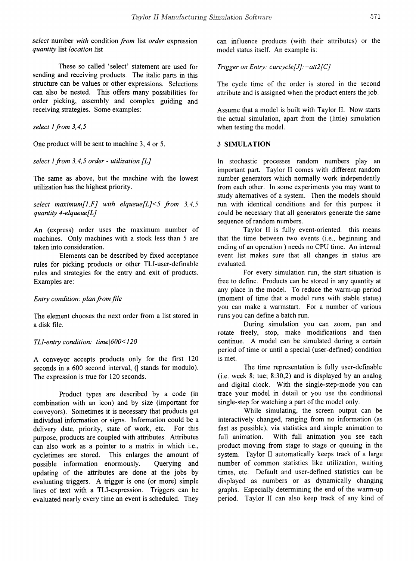*select* number *with* condition *from* list *order* expression *quantity* list *location* list

These so called 'select' statement are used for sending and receiving products. The italic parts in this structure can be values or other expressions. Selections can also be nested. This offers many possibilities for order picking, assembly and complex guiding and receiving strategies. Some examples:

*select* 1*from* 3,4,5

One product will be sent to machine 3, 4 or 5.

*select* 1*from* 3,4,5 *order* - *utilization [L}*

The same as above, but the machine with the lowest utilization has the highest priority.

*select maximum[1,F} with elqueue[L}<5 from 3,4,5 quantity 4-elqueue[L}*

An (express) order uses the maximum number of machines. Only machines with a stock less than 5 are taken into consideration.

Elements can be described by fixed acceptance rules for picking products or other TLI-user-defmable rules and strategies for the entry and exit of products. Examples are:

#### *Entry condition: plan from file*

The element chooses the next order from a list stored in a disk file.

#### *TLl-entry condition: timel600<120*

A conveyor accepts products only for the first 120 seconds in a 600 second interval, (I stands for modulo). The expression is true for 120 seconds.

Product types are described by a code (in combination with an icon) and by size (important for conveyors). Sometimes it is necessary that products get individual information or signs. Information could be a delivery date, priority, state of work, etc. For this purpose, products are coupled with attributes. Attributes can also work as a pointer to a matrix in which i.e., cycletimes are stored. This enlarges the amount of possible information enormously. Querying and updating of the attributes are done at the jobs by evaluating triggers. A trigger is one (or more) simple lines of text with a TLI-expression. Triggers can be evaluated nearly every time an event is scheduled. They can influence products (with their attributes) or the model status itself. An example is:

*Trigger on Entry: curcycle[J}:=att2[C}*

The cycle time of the order is stored in the second attribute and is assigned when the product enters the job.

Assume that a model is built with Taylor II. Now starts the actual simulation, apart from the (little) simulation when testing the model.

#### 3 SIMULATION

In stochastic processes random numbers play an important part. Taylor II comes with different random number generators which normally work independently from each other. In some experiments you may want to study alternatives of a system. Then the models should run with identical conditions and for this purpose it could be necessary that all generators generate the same sequence of random numbers.

Taylor II is fully event-oriented. this means that the time between two events (i.e., beginning and ending of an operation) needs no CPU time. An internal event list makes sure that all changes in status are evaluated.

For every simulation run, the start situation is free to define. Products can be stored in any quantity at any place in the model. To reduce the warm-up period (moment of time that a model runs with stable status) you can make a warmstart. For a number of various runs you can defme a batch run.

During simulation you can zoom, pan and rotate freely, stop, make modifications and then continue. A model can be simulated during a certain period of time or until a special (user-defmed) condition is met.

The time representation is fully user-defmable (i.e. week 8; tue; 8:30,2) and is displayed by an analog and digital clock. With the single-step-mode you can trace your model in detail or you use the conditional single-step for watching a part of the model only.

While simulating, the screen output can be interactively changed, ranging from no information (as fast as possible), via statistics and simple animation to full animation. With full animation you see each product moving from stage to stage or queuing in the system. Taylor II automatically keeps track of a large number of common statistics like utilization, waiting times, etc. Default and user-defmed statistics can be displayed as numbers or as dynamically changing graphs. Especially determining the end of the warm-up period. Taylor II can also keep track of any kind of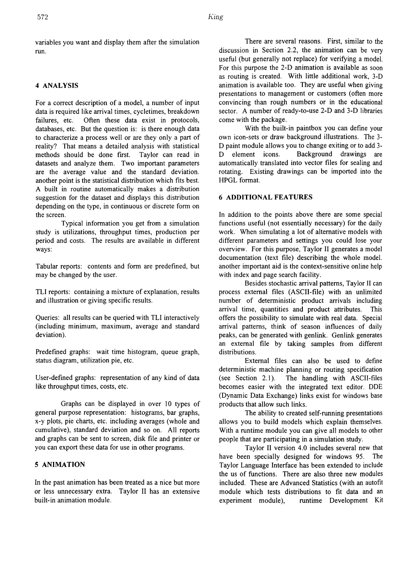variables you want and display them after the simulation run.

# 4 ANALYSIS

For a correct description of a model, a number of input data is required like arrival times, cycletimes, breakdown failures, etc. Often these data exist in protocols, databases, etc. But the question is: is there enough data to characterize a process well or are they only a part of reality? That means a detailed analysis with statistical methods should be done frrst. Taylor can read in datasets and analyze them. Two important parameters are the average value and the standard deviation. another point is the statistical distribution which fits best. A built in routine automatically makes a distribution suggestion for the dataset and displays this distribution depending on the type, in continuous or discrete form on the screen.

Typical information you get from a simulation study is utilizations, throughput times, production per period and costs. The results are available in different ways:

Tabular reports: contents and form are predefined, but may be changed by the user.

TLI reports: containing a mixture of explanation, results and illustration or giving specific results.

Queries: all results can be queried with TLI interactively (including minimum, maximum, average and standard deviation).

Predefmed graphs: wait time histogram, queue graph, status diagram, utilization pie, etc.

User-defmed graphs: representation of any kind of data like throughput times, costs, etc.

Graphs can be displayed in over 10 types of general purpose representation: histograms, bar graphs, x-y plots, pie charts, etc. including averages (whole and cumulative), standard deviation and so on. All reports and graphs can be sent to screen, disk file and printer or you can export these data for use in other programs.

### 5 ANIMATION

In the past animation has been treated as a nice but more or less unnecessary extra. Taylor II has an extensive built-in animation module.

There are several reasons. First, similar to the discussion in Section 2.2, the animation can be very useful (but generally not replace) for verifying a model. For this purpose the 2-D animation is available as soon as routing is created. With little additional work, 3-D animation is available too. They are useful when giving presentations to management or customers (often more convincing than rough numbers or in the educational sector. A number of ready-to-use 2-D and 3-D libraries come with the package.

With the built-in paintbox you can defme your own icon-sets or draw background illustrations. The 3- D paint module allows you to change exiting or to add 3- D element icons. Background drawings are automatically translated into vector files for sealing and rotating. Existing drawings can be imported into the HPGL format.

# 6 ADDITIONAL FEATURES

In addition to the points above there are some special functions useful (not essentially necessary) for the daily work. When simulating a lot of alternative models with different parameters and settings you could lose your overview. For this purpose, Taylor II generates a model documentation (text file) describing the whole model. another important aid is the context-sensitive online help with index and page search facility.

Besides stochastic arrival patterns, Taylor II can process external files (ASCII-file) with an unlimited number of deterministic product arrivals including arrival time, quantities and product attributes. This offers the possibility to simulate with real data. Special arrival patterns, think of season influences of daily peaks, can be generated with genlink. Genlink generates an external file by taking samples from different distributions.

External files can also be used to defme deterministic machine planning or routing specification (see Section 2.1). The handling with ASCII-files becomes easier with the integrated text editor. DDE (Dynamic Data Exchange) links exist for windows base products that allow such links.

The ability to created self-running presentations allows you to build models which explain themselves. With a runtime module you can give all models to other people that are participating in a simulation study.

Taylor II version 4.0 includes several new that have been specially designed for windows 95. The Taylor Language Interface has been extended to include the us of functions. There are also three new modules included. These are Advanced Statistics (with an autofit module which tests distributions to fit data and an experiment module), runtime Development Kit